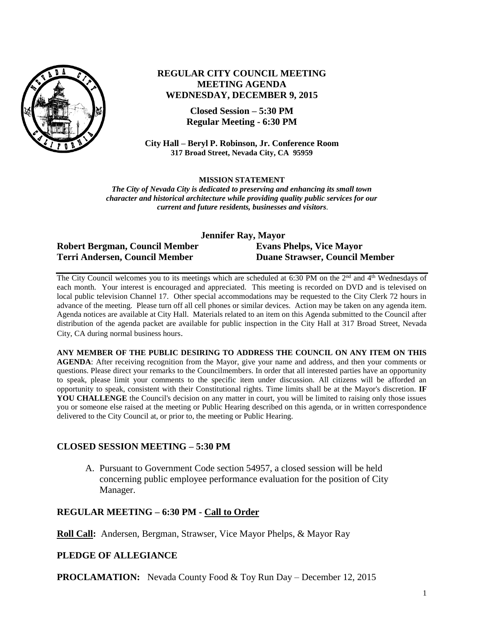

# **REGULAR CITY COUNCIL MEETING MEETING AGENDA WEDNESDAY, DECEMBER 9, 2015**

**Closed Session – 5:30 PM Regular Meeting - 6:30 PM**

**City Hall – Beryl P. Robinson, Jr. Conference Room 317 Broad Street, Nevada City, CA 95959**

#### **MISSION STATEMENT**

*The City of Nevada City is dedicated to preserving and enhancing its small town character and historical architecture while providing quality public services for our current and future residents, businesses and visitors.*

| Jennifer Ray, Mayor            |                                       |
|--------------------------------|---------------------------------------|
| Robert Bergman, Council Member | <b>Evans Phelps, Vice Mayor</b>       |
| Terri Andersen, Council Member | <b>Duane Strawser, Council Member</b> |

The City Council welcomes you to its meetings which are scheduled at 6:30 PM on the 2<sup>nd</sup> and 4<sup>th</sup> Wednesdays of each month. Your interest is encouraged and appreciated. This meeting is recorded on DVD and is televised on local public television Channel 17. Other special accommodations may be requested to the City Clerk 72 hours in advance of the meeting. Please turn off all cell phones or similar devices. Action may be taken on any agenda item. Agenda notices are available at City Hall. Materials related to an item on this Agenda submitted to the Council after distribution of the agenda packet are available for public inspection in the City Hall at 317 Broad Street, Nevada City, CA during normal business hours.

**ANY MEMBER OF THE PUBLIC DESIRING TO ADDRESS THE COUNCIL ON ANY ITEM ON THIS AGENDA**: After receiving recognition from the Mayor, give your name and address, and then your comments or questions. Please direct your remarks to the Councilmembers. In order that all interested parties have an opportunity to speak, please limit your comments to the specific item under discussion. All citizens will be afforded an opportunity to speak, consistent with their Constitutional rights. Time limits shall be at the Mayor's discretion. **IF**  YOU CHALLENGE the Council's decision on any matter in court, you will be limited to raising only those issues you or someone else raised at the meeting or Public Hearing described on this agenda, or in written correspondence delivered to the City Council at, or prior to, the meeting or Public Hearing.

#### **CLOSED SESSION MEETING – 5:30 PM**

A. Pursuant to Government Code section 54957, a closed session will be held concerning public employee performance evaluation for the position of City Manager.

## **REGULAR MEETING – 6:30 PM - Call to Order**

**Roll Call:** Andersen, Bergman, Strawser, Vice Mayor Phelps, & Mayor Ray

#### **PLEDGE OF ALLEGIANCE**

**PROCLAMATION:** Nevada County Food & Toy Run Day – December 12, 2015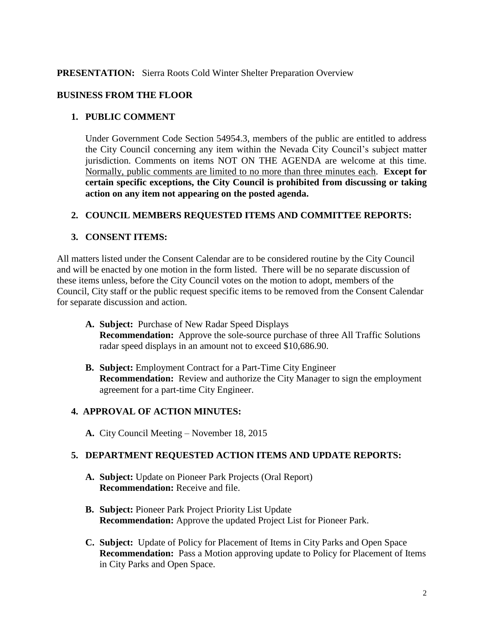## **PRESENTATION:** Sierra Roots Cold Winter Shelter Preparation Overview

## **BUSINESS FROM THE FLOOR**

## **1. PUBLIC COMMENT**

Under Government Code Section 54954.3, members of the public are entitled to address the City Council concerning any item within the Nevada City Council's subject matter jurisdiction. Comments on items NOT ON THE AGENDA are welcome at this time. Normally, public comments are limited to no more than three minutes each. **Except for certain specific exceptions, the City Council is prohibited from discussing or taking action on any item not appearing on the posted agenda.**

#### **2. COUNCIL MEMBERS REQUESTED ITEMS AND COMMITTEE REPORTS:**

## **3. CONSENT ITEMS:**

All matters listed under the Consent Calendar are to be considered routine by the City Council and will be enacted by one motion in the form listed. There will be no separate discussion of these items unless, before the City Council votes on the motion to adopt, members of the Council, City staff or the public request specific items to be removed from the Consent Calendar for separate discussion and action.

- **A. Subject:** Purchase of New Radar Speed Displays **Recommendation:** Approve the sole-source purchase of three All Traffic Solutions radar speed displays in an amount not to exceed \$10,686.90.
- **B. Subject:** Employment Contract for a Part-Time City Engineer **Recommendation:** Review and authorize the City Manager to sign the employment agreement for a part-time City Engineer.

#### **4. APPROVAL OF ACTION MINUTES:**

**A.** City Council Meeting – November 18, 2015

#### **5. DEPARTMENT REQUESTED ACTION ITEMS AND UPDATE REPORTS:**

- **A. Subject:** Update on Pioneer Park Projects (Oral Report) **Recommendation:** Receive and file.
- **B. Subject:** Pioneer Park Project Priority List Update **Recommendation:** Approve the updated Project List for Pioneer Park.
- **C. Subject:** Update of Policy for Placement of Items in City Parks and Open Space **Recommendation:** Pass a Motion approving update to Policy for Placement of Items in City Parks and Open Space.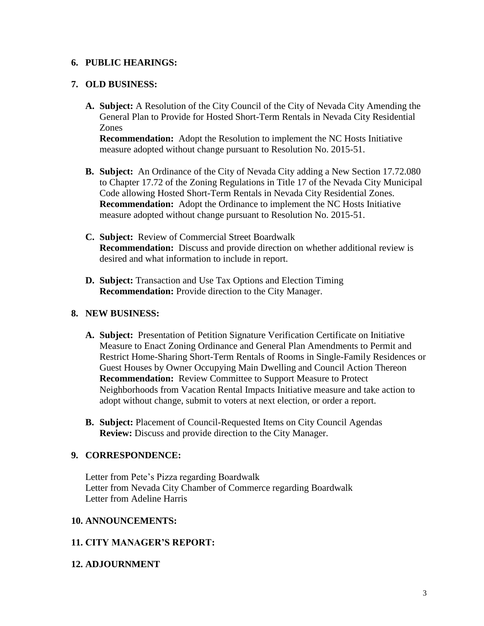#### **6. PUBLIC HEARINGS:**

#### **7. OLD BUSINESS:**

**A. Subject:** A Resolution of the City Council of the City of Nevada City Amending the General Plan to Provide for Hosted Short-Term Rentals in Nevada City Residential Zones

**Recommendation:** Adopt the Resolution to implement the NC Hosts Initiative measure adopted without change pursuant to Resolution No. 2015-51.

- **B. Subject:** An Ordinance of the City of Nevada City adding a New Section 17.72.080 to Chapter 17.72 of the Zoning Regulations in Title 17 of the Nevada City Municipal Code allowing Hosted Short-Term Rentals in Nevada City Residential Zones. **Recommendation:** Adopt the Ordinance to implement the NC Hosts Initiative measure adopted without change pursuant to Resolution No. 2015-51.
- **C. Subject:** Review of Commercial Street Boardwalk **Recommendation:** Discuss and provide direction on whether additional review is desired and what information to include in report.
- **D. Subject:** Transaction and Use Tax Options and Election Timing **Recommendation:** Provide direction to the City Manager.

## **8. NEW BUSINESS:**

- **A. Subject:** Presentation of Petition Signature Verification Certificate on Initiative Measure to Enact Zoning Ordinance and General Plan Amendments to Permit and Restrict Home-Sharing Short-Term Rentals of Rooms in Single-Family Residences or Guest Houses by Owner Occupying Main Dwelling and Council Action Thereon **Recommendation:** Review Committee to Support Measure to Protect Neighborhoods from Vacation Rental Impacts Initiative measure and take action to adopt without change, submit to voters at next election, or order a report.
- **B. Subject:** Placement of Council-Requested Items on City Council Agendas **Review:** Discuss and provide direction to the City Manager.

#### **9. CORRESPONDENCE:**

Letter from Pete's Pizza regarding Boardwalk Letter from Nevada City Chamber of Commerce regarding Boardwalk Letter from Adeline Harris

#### **10. ANNOUNCEMENTS:**

#### **11. CITY MANAGER'S REPORT:**

#### **12. ADJOURNMENT**